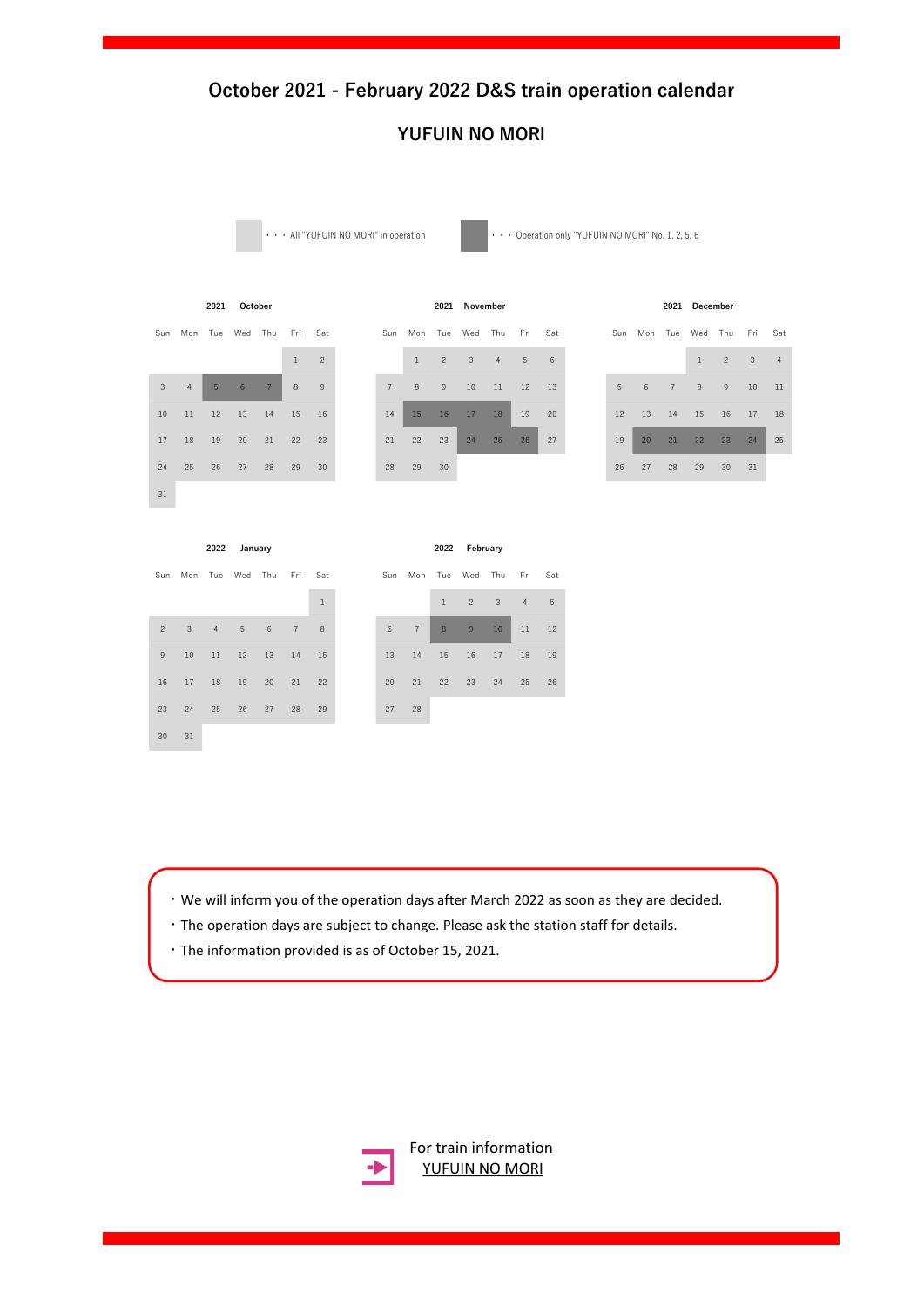### **YUFUIN NO MORI**

 $\cdots$  All "YUFUIN NO MORI" in operation  $\cdots$   $\cdots$  Operation only "YUFUIN NO MORI" No. 1, 2, 5, 6

**2021 2021 2021** Sun Mon Tue Wed Thu Fri Sat 31

|                 |                | 2021 | October |                |              |                |                |                | 2021 | November |                |         |    |             |             | 2021 | December     |                 |     |                |
|-----------------|----------------|------|---------|----------------|--------------|----------------|----------------|----------------|------|----------|----------------|---------|----|-------------|-------------|------|--------------|-----------------|-----|----------------|
| Sun             | Mon Tue        |      | Wed     | Thu            | Fri          | Sat            | Sun            | Mon            | Tue  | Wed      | Thu            | Fri Sat |    |             | Sun Mon Tue |      | Wed          | Thu             | Fri | Sat            |
|                 |                |      |         |                | $\mathbf{1}$ | $\overline{2}$ |                | $\overline{1}$ | 2    | 3        | $\overline{4}$ | 5       | 6  |             |             |      | $\mathbf{1}$ | $\overline{2}$  | 3   | $\overline{4}$ |
| $\mathbf{3}$    | $\overline{4}$ | 5    | 6       | $\overline{7}$ | 8            | 9              | $\overline{7}$ | 8              | 9    | 10       | 11             | 12      | 13 | $5^{\circ}$ | 6           | 7    | 8            | 9               | 10  | 11             |
| 10 <sup>1</sup> | 11             | 12   | 13      | 14             | 15           | 16             | 14             | 15             | 16   | 17       | 18             | 19      | 20 | 12          | 13          | 14   | 15           | 16              | 17  | 18             |
| 17              | 18             | 19   | 20      | 21             | 22           | 23             | 21             | 22             | 23   | 24       | 25             | 26      | 27 | 19          | 20          | 21   | 22           | 23              | 24  | 25             |
| 24              | 25             | 26   | 27      | 28             | 29           | 30             | 28             | 29             | 30   |          |                |         |    | 26          | 27          | 28   | 29           | 30 <sup>°</sup> | 31  |                |

|    |                 |                | 2021 December |                |        |                |
|----|-----------------|----------------|---------------|----------------|--------|----------------|
|    | Sun Mon Tue Wed |                |               | Thu Fri        |        | Sat            |
|    |                 |                | $\mathbf{1}$  | $\overline{2}$ | $_{3}$ | $\overline{4}$ |
| 5  | 6               | $\overline{7}$ | 8             | 9              | 10     | 11             |
| 12 | 13              | 14             | 15            | 16             | 17     | 18             |
| 19 | 20              |                | 21 22         | 23             | 24     | 25             |
| 26 | 27              | 28             | 29            | 30             | 31     |                |

**2022 2022**

**January February**

| Sun            |    |                | Mon Tue Wed Thu |    | Fri            | Sat          | Sun            | Mon            |
|----------------|----|----------------|-----------------|----|----------------|--------------|----------------|----------------|
|                |    |                |                 |    |                | $\mathbf{1}$ |                |                |
| $\overline{2}$ | 3  | $\overline{4}$ | 5               | 6  | $\overline{7}$ | 8            | $6\phantom{1}$ | $\overline{7}$ |
| $\overline{9}$ | 10 | 11             | 12              | 13 | 14             | 15           | 13             | 14             |
| 16             | 17 | 18             | 19              | 20 | 21             | 22           | 20             | 21             |
| 23             | 24 | 25             | 26              | 27 | 28             | 29           | 27             | 28             |
| 30             | 31 |                |                 |    |                |              |                |                |

| Sun                      |              |    | Mon Tue Wed Thu |                 | Fri Sat        |              |
|--------------------------|--------------|----|-----------------|-----------------|----------------|--------------|
|                          |              |    |                 |                 |                | $\mathbf{1}$ |
| $\overline{\phantom{0}}$ | $\mathbf{3}$ |    | $4\overline{5}$ | $6\overline{6}$ | 7 <sub>2</sub> | 8            |
| 9                        | 10           | 11 | 12              | 13              | 14             | 15           |
| 16                       | 17           | 18 | 19              | 20              | 21             | 22           |
| 23                       | 24           | 25 | 26              | 27              | 28             | 29           |

- ・We will inform you of the operation days after March 2022 as soon as they are decided.
- ・The operation days are subject to change. Please ask the station staff for details.
- ・The information provided is as of October 15, 2021.

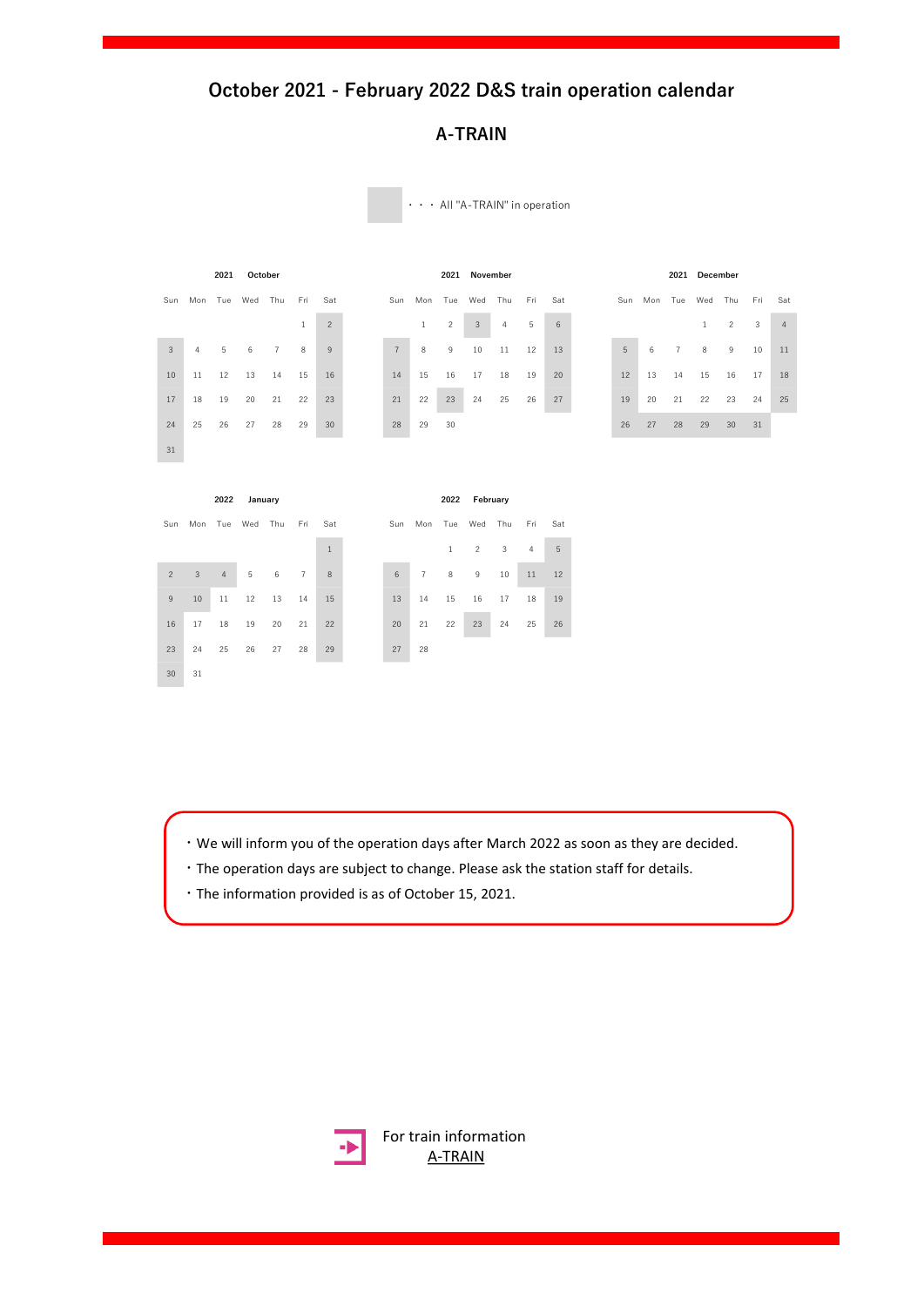### **A-TRAIN**

|                |              | 2021            | October |                |                |                |                |                | 2021           | November       |                |     |     |     |             |                | 2021 December |                |     |                |
|----------------|--------------|-----------------|---------|----------------|----------------|----------------|----------------|----------------|----------------|----------------|----------------|-----|-----|-----|-------------|----------------|---------------|----------------|-----|----------------|
| Sun            |              | Mon Tue Wed Thu |         |                | Fri            | Sat            | Sun            | Mon            | Tue            | Wed Thu        |                | Fri | Sat | Sun | Mon Tue Wed |                |               | Thu            | Fri | Sat            |
|                |              |                 |         |                | $\mathbf{1}$   | $\overline{c}$ |                | $\mathbf{1}$   | $\overline{c}$ | $\sqrt{3}$     | $\overline{4}$ | 5   | 6   |     |             |                | $\mathbf{1}$  | $\overline{c}$ | 3   | $\overline{4}$ |
| 3              | 4            | 5               | 6       | $\overline{7}$ | 8              | 9              | $7\phantom{.}$ | $\,$ 8         | 9              | 10             | 11             | 12  | 13  | 5   | 6           | $\overline{7}$ | 8             | 9              | 10  | 11             |
| 10             | 11           | 12              | 13      | 14             | 15             | 16             | 14             | 15             | 16             | 17             | 18             | 19  | 20  | 12  | 13          | 14             | 15            | 16             | 17  | 18             |
| 17             | 18           | 19              | 20      | 21             | 22             | 23             | 21             | 22             | 23             | 24             | 25             | 26  | 27  | 19  | 20          | 21             | 22            | 23             | 24  | 25             |
| 24             | 25           | 26              | 27      | 28             | 29             | 30             | 28             | 29             | 30             |                |                |     |     | 26  | 27          | 28             | 29            | 30             | 31  |                |
| 31             |              |                 |         |                |                |                |                |                |                |                |                |     |     |     |             |                |               |                |     |                |
|                |              |                 |         |                |                |                |                |                |                |                |                |     |     |     |             |                |               |                |     |                |
|                |              | 2022            | January |                |                |                |                |                | 2022           | February       |                |     |     |     |             |                |               |                |     |                |
| Sun            |              | Mon Tue Wed Thu |         |                | Fri            | Sat            |                | Sun Mon Tue    |                | Wed            | Thu            | Fri | Sat |     |             |                |               |                |     |                |
|                |              |                 |         |                |                | $\mathbf{1}$   |                |                | $\mathbf{1}$   | $\overline{c}$ | $\mathbf{3}$   | 4   | 5   |     |             |                |               |                |     |                |
| $\overline{2}$ | $\mathbf{3}$ | $\sqrt{4}$      | 5       | 6              | $\overline{7}$ | $\,$ 8 $\,$    | 6              | $\overline{7}$ | 8              | 9              | 10             | 11  | 12  |     |             |                |               |                |     |                |
| 9              | 10           | 11              | 12      | 13             | 14             | 15             | 13             | 14             | 15             | 16             | 17             | 18  | 19  |     |             |                |               |                |     |                |
| 16             | 17           | 18              | 19      |                |                |                |                |                |                |                |                |     |     |     |             |                |               |                |     |                |
|                |              |                 |         | 20             | 21             | 22             | 20             | 21             | 22             | 23             | 24             | 25  | 26  |     |             |                |               |                |     |                |
| 23             | 24           | 25              | 26      | 27             | 28             | 29             | 27             | 28             |                |                |                |     |     |     |             |                |               |                |     |                |

・・・ All "A-TRAIN" in operation

・We will inform you of the operation days after March 2022 as soon as they are decided.

- ・The operation days are subject to change. Please ask the station staff for details.
- ・The information provided is as of October 15, 2021.

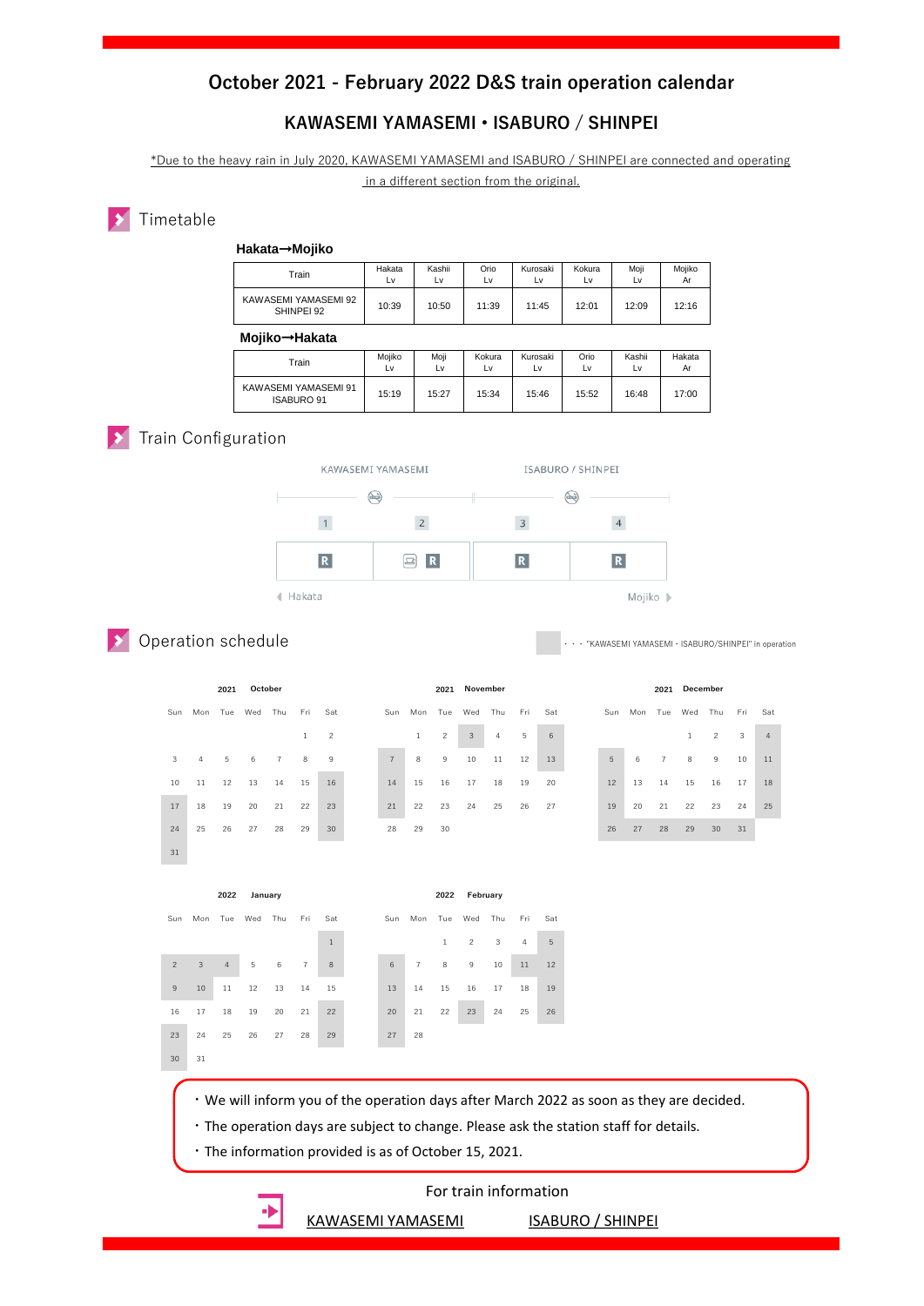#### **KAWASEMI YAMASEMI • ISABURO / SHINPEI**

\*Due to the heavy rain in July 2020, KAWASEMI YAMASEMI and ISABURO / SHINPEI are connected and operating in a different section from the original.

#### **X** Timetable

| Hakata→Mojiko                      |              |              |              |                |              |              |              |
|------------------------------------|--------------|--------------|--------------|----------------|--------------|--------------|--------------|
| Train                              | Hakata<br>Lv | Kashii<br>Lv | Orio<br>Lv   | Kurosaki<br>Lv | Kokura<br>Lv | Moji<br>Lv   | Mojiko<br>Ar |
| KAWASEMI YAMASEMI 92<br>SHINPEI 92 | 10:39        | 10:50        | 11:39        | 11:45          | 12:01        | 12:09        | 12:16        |
|                                    |              |              |              |                |              |              |              |
| Mojiko→Hakata                      |              |              |              |                |              |              |              |
| Train                              | Mojiko<br>Lv | Moji<br>Lv   | Kokura<br>L٧ | Kurosaki<br>L٧ | Orio<br>L٧   | Kashii<br>L٧ | Hakata<br>Ar |

#### **Train Configuration**



Operation schedule

"KAWASEMI YAMASEMI · ISABURO/SHINPEI" in operation

|                |                     | 2021 | October |                |              |                |                |              |                | 2021 November |                |     |     |     |    | 2021           | December |                     |    |                |
|----------------|---------------------|------|---------|----------------|--------------|----------------|----------------|--------------|----------------|---------------|----------------|-----|-----|-----|----|----------------|----------|---------------------|----|----------------|
| Sun            | Mon Tue Wed Thu Fri |      |         |                |              | Sat            | Sun            |              | Mon Tue Wed    |               | Thu            | Fri | Sat | Sun |    |                |          | Mon Tue Wed Thu Fri |    | Sat            |
|                |                     |      |         |                | $\mathbf{1}$ | $\overline{2}$ |                | $\mathbf{1}$ | $\overline{c}$ | 3             | $\overline{4}$ | 5   | 6   |     |    |                |          | $\overline{2}$      | 3  | $\overline{4}$ |
| $\overline{3}$ | $\overline{4}$      | 5    | 6       | $\overline{7}$ | 8            | 9              | $\overline{7}$ | 8            | 9              | 10            | 11             | 12  | 13  | 5   | 6  | $\overline{7}$ | 8        | 9                   | 10 | 11             |
| 10             | 11                  | 12   | 13      | 14             | 15           | 16             | 14             | 15           | 16             | 17            | 18             | 19  | 20  | 12  | 13 | 14             | 15       | 16                  | 17 | 18             |
| 17             | 18                  | 19   | 20      | 21             | 22           | 23             | 21             | 22           | 23             | 24            | 25             | 26  | 27  | 19  | 20 | 21             | 22       | 23                  | 24 | 25             |
| 24             | 25                  | 26   | 27      | 28             | 29           | 30             | 28             | 29           | 30             |               |                |     |     | 26  | 27 | 28             | 29       | 30                  | 31 |                |
| 31             |                     |      |         |                |              |                |                |              |                |               |                |     |     |     |    |                |          |                     |    |                |

|     |     |                 | 2021 December |               |     |                |  |
|-----|-----|-----------------|---------------|---------------|-----|----------------|--|
| Sun | Mon | Tue Wed         |               | Thu           | Fri | Sat            |  |
|     |     |                 | 1             | $\mathcal{P}$ | 3   | $\overline{4}$ |  |
| 5   | 6   | $7\overline{ }$ | 8             | 9             | 10  | 11             |  |
| 12  | 13  | 14              | 15            | 16            | 17  | 18             |  |
| 19  | 20  | 21              | 22            | 23            | 24  | 25             |  |
|     |     |                 |               |               |     |                |  |

|                |     | 2022           | January |       |                |       |                |                | 2022         |                | February |     |     |
|----------------|-----|----------------|---------|-------|----------------|-------|----------------|----------------|--------------|----------------|----------|-----|-----|
| Sun            | Mon | Tue            | Wed     | Thu   | Fri            | Sat   | Sun            | Mon            | Tue          | Wed            | Thu      | Fri | Sat |
|                |     |                |         |       |                | $1\,$ |                |                | $\mathbf{1}$ | $\overline{c}$ | 3        | 4   | 5   |
| $\overline{2}$ | 3   | $\overline{4}$ | 5       | $\,6$ | $\overline{7}$ | 8     | $6\phantom{1}$ | $\overline{7}$ | 8            | 9              | 10       | 11  | 12  |
| 9              | 10  | 11             | 12      | 13    | 14             | 15    | 13             | 14             | 15           | 16             | 17       | 18  | 19  |
| 16             | 17  | 18             | 19      | 20    | 21             | 22    | 20             | 21             | 22           | 23             | 24       | 25  | 26  |
| 23             | 24  | 25             | 26      | 27    | 28             | 29    | 27             | 28             |              |                |          |     |     |
| 30             | 31  |                |         |       |                |       |                |                |              |                |          |     |     |

- ・We will inform you of the operation days after March 2022 as soon as they are decided.
- ・The operation days are subject to change. Please ask the station staff for details.
- ・The information provided is as of October 15, 2021.

#### For train information

[KAWASEMI YAMASEMI](https://www.jrkyushu.co.jp/english/train/kawasemi_yamasemi.html) [ISABURO / SHINPEI](https://www.jrkyushu.co.jp/english/train/isashin.html)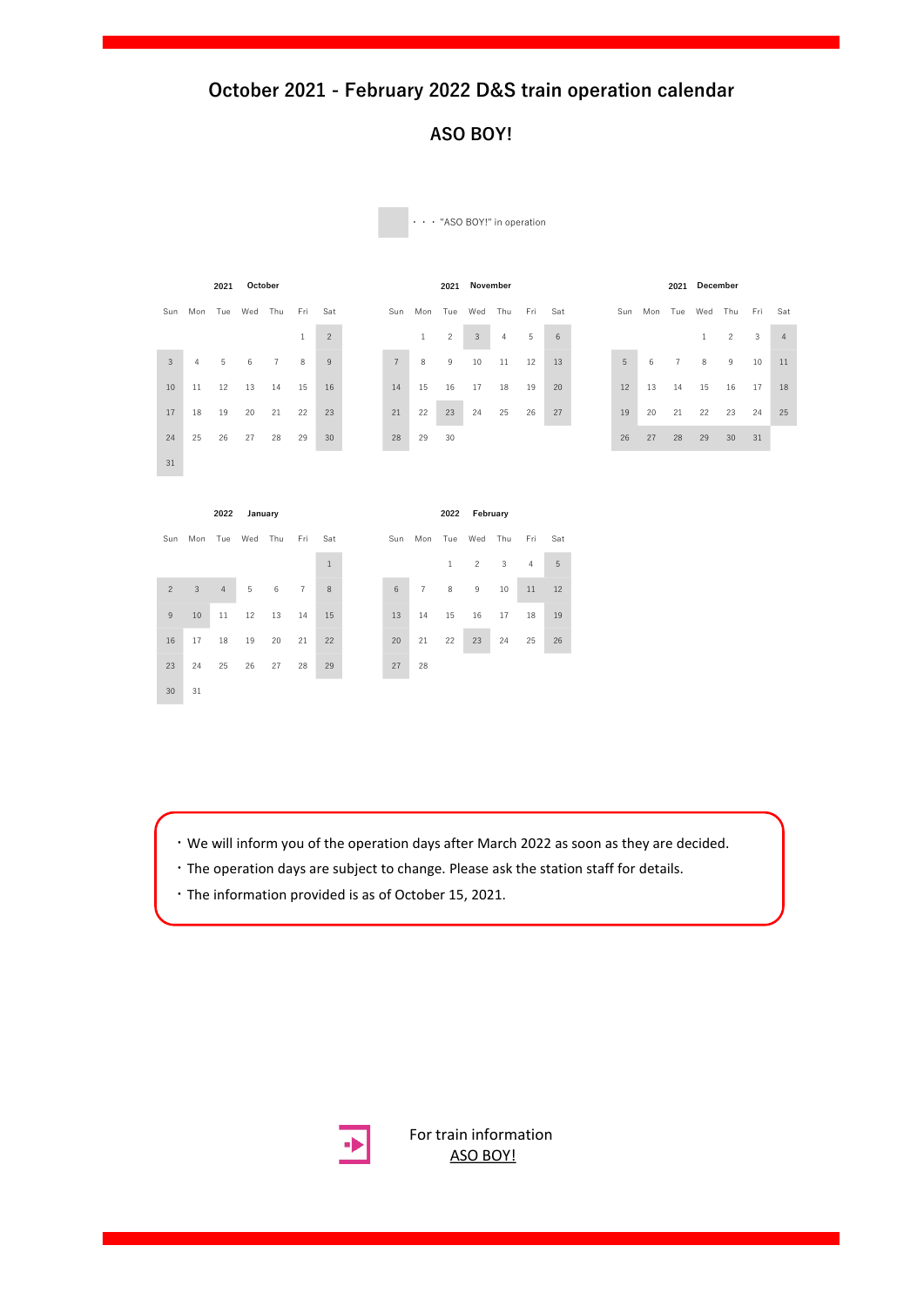### **ASO BOY!**

|                |                     | 2021 | October |                |              |                |                |                 | 2021           | November |     |     |     |    |                     |                | 2021 December |                |     |                |
|----------------|---------------------|------|---------|----------------|--------------|----------------|----------------|-----------------|----------------|----------|-----|-----|-----|----|---------------------|----------------|---------------|----------------|-----|----------------|
| Sun            | Mon                 |      | Tue Wed | Thu            | Fri          | Sat            |                | Sun Mon Tue Wed |                |          | Thu | Fri | Sat |    | Sun Mon Tue Wed Thu |                |               |                | Fri | Sat            |
|                |                     |      |         |                | $\mathbf{1}$ | $\overline{c}$ |                | $\mathbf{1}$    | $\overline{c}$ | 3        | 4   | 5   | 6   |    |                     |                | $\mathbf{1}$  | $\overline{c}$ | 3   | $\overline{4}$ |
| $\overline{3}$ | 4                   | 5    | 6       | $\overline{7}$ | 8            | 9              | $\overline{7}$ | 8               | 9              | 10       | 11  | 12  | 13  | 5  | 6                   | $\overline{7}$ | $\,$ 8        | 9              | 10  | 11             |
| 10             | 11                  | 12   | 13      | 14             | 15           | 16             | 14             | 15              | 16             | 17       | 18  | 19  | 20  | 12 | 13                  | 14             | 15            | 16             | 17  | 18             |
| 17             | 18                  | 19   | 20      | 21             | 22           | 23             | 21             | 22              | 23             | 24       | 25  | 26  | 27  | 19 | 20                  | 21             | 22            | 23             | 24  | 25             |
| 24             | 25                  | 26   | 27      | 28             | 29           | 30             | 28             | 29              | 30             |          |     |     |     | 26 | 27                  | 28             | 29            | 30             | 31  |                |
| 31             |                     |      |         |                |              |                |                |                 |                |          |     |     |     |    |                     |                |               |                |     |                |
|                |                     |      |         |                |              |                |                |                 |                |          |     |     |     |    |                     |                |               |                |     |                |
|                |                     | 2022 | January |                |              |                |                |                 | 2022           | February |     |     |     |    |                     |                |               |                |     |                |
|                | Sun Mon Tue Wed Thu |      |         |                | Fri          | Sat            |                | Sun Mon Tue Wed |                |          | Thu | Fri | Sat |    |                     |                |               |                |     |                |

・・・ "ASO BOY!" in operation

- ・We will inform you of the operation days after March 2022 as soon as they are decided.
- ・The operation days are subject to change. Please ask the station staff for details.
- ・The information provided is as of October 15, 2021.

23 24 25 26 27 28 29 27 28

30 31

 $\begin{array}{|c|c|c|c|c|c|}\n\hline\n1 & 1 & 2 & 3 & 4 & 5\n\end{array}$  3 4 5 6 7 8 6 7 8 9 10 11 12 10 11 12 13 14 15 13 14 15 16 17 18 19 17 18 19 20 21 22 20 21 22 23 24 25 26



For train [information](https://www.jrkyushu.co.jp/english/train/asoboy.html) ASO BOY!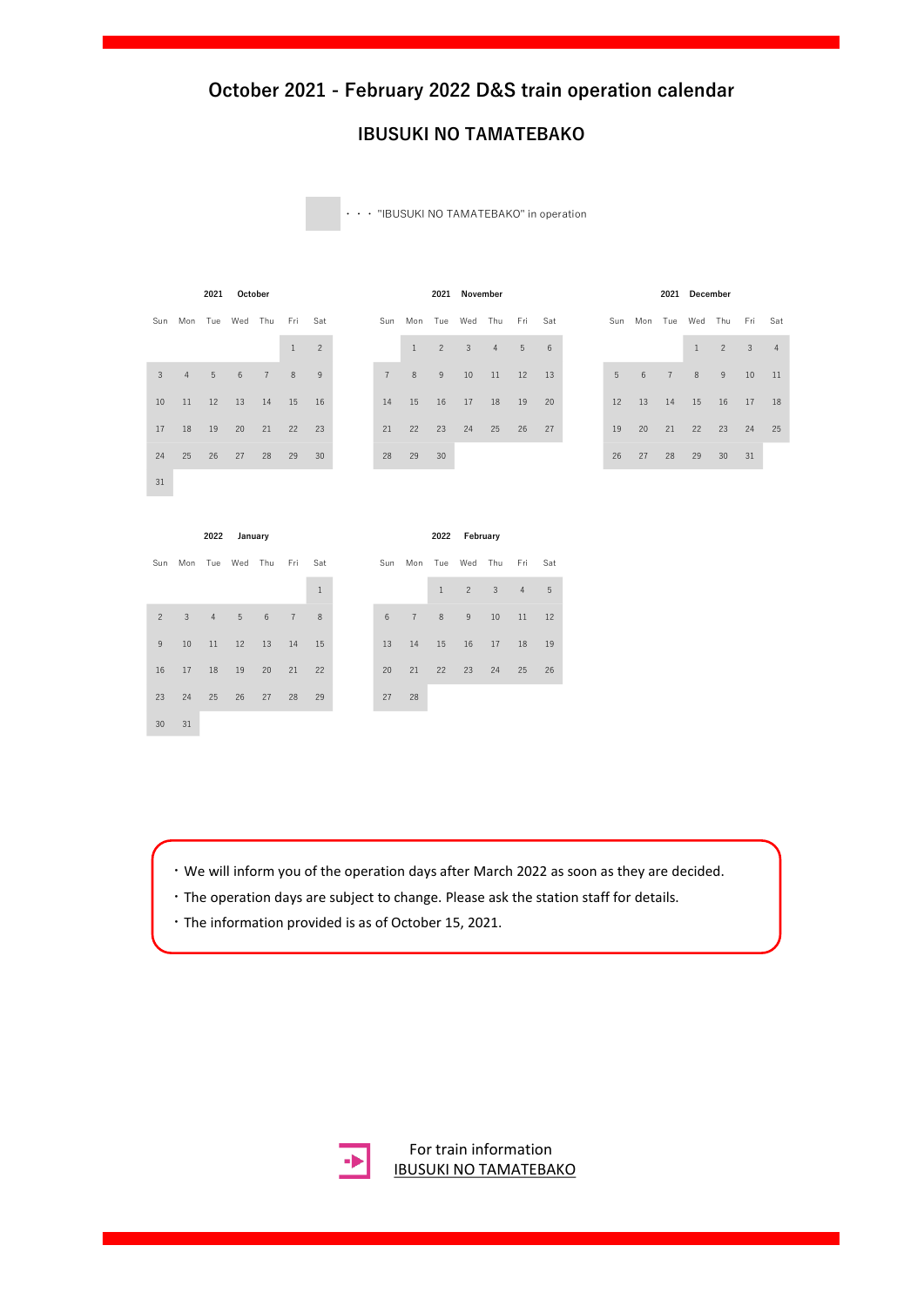#### **IBUSUKI NO TAMATEBAKO**

・・・ "IBUSUKI NO TAMATEBAKO" in operation

Sun Mon Tue Wed Thu Fri Sat 31

|             | Sun Mon Tue Wed Thu Fri Sat |             |    |                |    |    | Sun Mon Tue Wed Thu Fri Sat |       |                |                |                |                 |                | Sun Mon Tue Wed Thu Fri Sat |    |                        |                 |      |                 |
|-------------|-----------------------------|-------------|----|----------------|----|----|-----------------------------|-------|----------------|----------------|----------------|-----------------|----------------|-----------------------------|----|------------------------|-----------------|------|-----------------|
|             |                             |             |    | $\mathbf{1}$   | 2  |    | 1                           | 2     | $\overline{3}$ | $\overline{4}$ | 5 <sup>5</sup> | $6\overline{6}$ |                |                             |    | 1                      | $2 \quad 3$     |      | $-4$            |
| $3^{\circ}$ |                             | 4 5 6 7     |    | 8 <sup>8</sup> | -9 | 7  | $-8$                        | 9     | 10             | 11             | 12             | 13              | 5 <sup>1</sup> | 6 7                         |    | 8 <sup>8</sup>         | $-9$            | 10   | $\overline{11}$ |
|             | 10 11 12 13 14 15 16        |             |    |                |    |    | 14   15   16   17   18   19 |       |                |                |                | 20              | 12             |                             |    | 13  14  15  16  17  18 |                 |      |                 |
| 17          | 18 19                       | 20 21 22 23 |    |                |    | 21 | 22                          | $-23$ | 24             | 25 26 27       |                |                 | 19             | 20                          |    | 21 22 23 24 25         |                 |      |                 |
|             | 24 25 26                    | 27          | 28 | 29             | 30 | 28 | 29                          | 30    |                |                |                |                 | 26             | 27                          | 28 | 29                     | 30 <sup>2</sup> | - 31 |                 |

| 2021        | October |                |              |          |  |                |                     |    | 2021 November |                |                |    |             |    |      | 2021 December |                             |    |
|-------------|---------|----------------|--------------|----------|--|----------------|---------------------|----|---------------|----------------|----------------|----|-------------|----|------|---------------|-----------------------------|----|
| Tue         | Wed     | Thu Fri Sat    |              |          |  |                | Sun Mon Tue Wed Thu |    |               |                | Fri Sat        |    |             |    |      |               | Sun Mon Tue Wed Thu Fri Sat |    |
|             |         |                | $\mathbf{1}$ | $\sim$ 2 |  |                | $\overline{1}$      | 2  | $\mathbf{3}$  | $\overline{4}$ | 5 <sup>1</sup> | 6  |             |    |      | $\mathbf{1}$  | $2 \t 3$                    |    |
| $5^{\circ}$ | 6       | $\overline{7}$ | 8            | -9       |  | $\overline{7}$ | 8                   | 9  | 10            | 11             | 12             | 13 | $5^{\circ}$ | 6  | $-7$ | 8             | 9                           | 10 |
| 12          | 13      | 14             | 15           | 16       |  | 14             | 15                  | 16 | 17            | 18             | 19             | 20 | 12          | 13 | 14   | 15            | 16                          | 17 |
| 19          | 20      | 21             | 22           | 23       |  | 21             | 22                  | 23 | 24            | 25             | 26             | 27 | 19          | 20 | 21   | 22            | 23                          | 24 |
| 26          | 27      | 28             | 29           | 30       |  | 28             | 29                  | 30 |               |                |                |    | 26          | 27 | 28   | 29            | 30                          | 31 |

|  | 2022 January           |  |  |  |  |             |  |  |
|--|------------------------|--|--|--|--|-------------|--|--|
|  | an Tue Wed Thu Fri Sat |  |  |  |  | Sun Mon Tue |  |  |

|                |                          |     |                |                 |                | $1\,$ |       |                |
|----------------|--------------------------|-----|----------------|-----------------|----------------|-------|-------|----------------|
| $\overline{2}$ | $\overline{\phantom{a}}$ | 4 5 |                | $6\overline{6}$ | $\overline{7}$ | 8     | 6     | $\overline{7}$ |
| 9              | 10                       |     | 11  12  13  14 |                 |                | 15    | 13 14 |                |
| 16             | 17 18 19 20              |     |                |                 | 21             | 22    | 20    | 21             |
| 23             | 24                       |     | 25 26 27       |                 | 28             | 29    | 27    | 28             |
| 30             | 31                       |     |                |                 |                |       |       |                |

|                |         | 2022           | January |     |                |              |
|----------------|---------|----------------|---------|-----|----------------|--------------|
| Sun            | Mon Tue |                | Wed     | Thu | Fri            | Sat          |
|                |         |                |         |     |                | $\mathbf{1}$ |
| $\mathfrak{p}$ | 3       | $\overline{4}$ | 5       | 6   | $\overline{7}$ | 8            |
| 9              | 10      | 11             | 12      | 13  | 14             | 15           |
| 16             | 17      | 18             | 19      | 20  | 21             | 22           |
| 23             | 24      | 25             | 26      | 27  | 28             | 29           |

- ・We will inform you of the operation days after March 2022 as soon as they are decided.
- ・The operation days are subject to change. Please ask the station staff for details.
- ・The information provided is as of October 15, 2021.



For train information [IBUSUKI NO TAMATEBAKO](https://www.jrkyushu.co.jp/english/train/ibutama.html)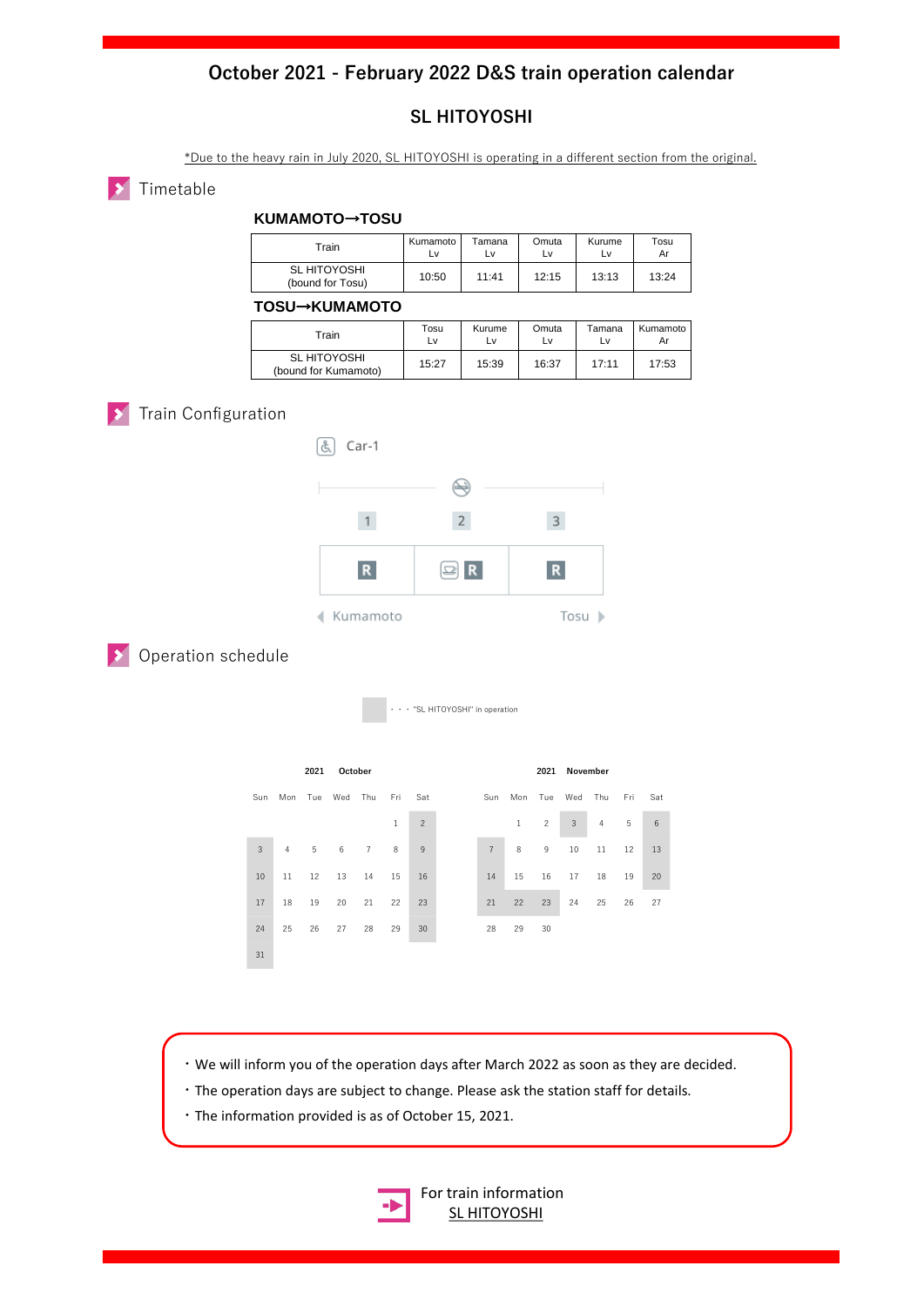### **SL HITOYOSHI**

\*Due to the heavy rain in July 2020, SL HITOYOSHI is operating in a different section from the original.

#### **X** Timetable

#### **KUMAMOTO**→**TOSU**

| Train                            | Kumamoto I | Tamana | Omuta | Kurume | Tosu  |
|----------------------------------|------------|--------|-------|--------|-------|
|                                  | L٧         | Lv     | L٧    | Lv     | Ar    |
| SL HITOYOSHI<br>(bound for Tosu) | 10:50      | 11:41  | 12:15 | 13:13  | 13:24 |

#### **TOSU**→**KUMAMOTO**

| Train                                | Tosu  | Kurume | Omuta | Tamana | Kumamoto |
|--------------------------------------|-------|--------|-------|--------|----------|
|                                      | Lv    | Lv     | L٧    | Lv     | Ar       |
| SL HITOYOSHI<br>(bound for Kumamoto) | 15:27 | 15:39  | 16:37 | 17:11  | 17:53    |

# **X** Train Configuration





**Dearation schedule** 

・・・ "SL HITOYOSHI" in operation



・We will inform you of the operation days after March 2022 as soon as they are decided.

- ・The operation days are subject to change. Please ask the station staff for details.
- ・The information provided is as of October 15, 2021.



[For train information](https://www.jrkyushu.co.jp/english/train/sl.html) **SL HITOYOSHI**